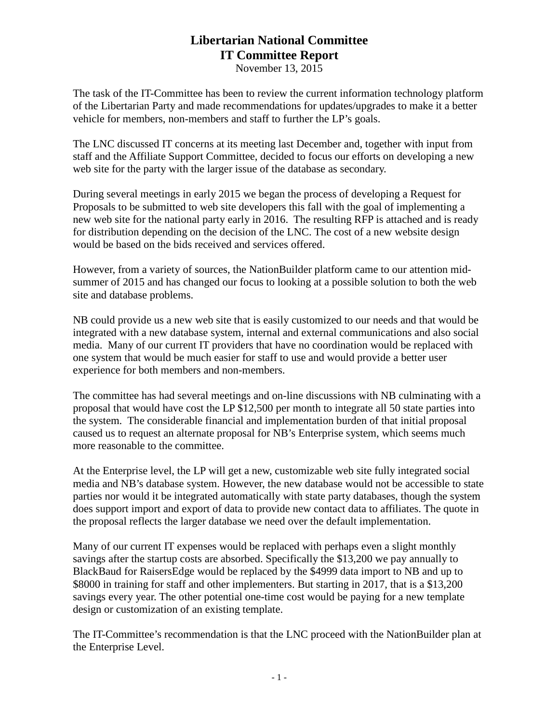## **Libertarian National Committee IT Committee Report**

November 13, 2015

The task of the IT-Committee has been to review the current information technology platform of the Libertarian Party and made recommendations for updates/upgrades to make it a better vehicle for members, non-members and staff to further the LP's goals.

The LNC discussed IT concerns at its meeting last December and, together with input from staff and the Affiliate Support Committee, decided to focus our efforts on developing a new web site for the party with the larger issue of the database as secondary.

During several meetings in early 2015 we began the process of developing a Request for Proposals to be submitted to web site developers this fall with the goal of implementing a new web site for the national party early in 2016. The resulting RFP is attached and is ready for distribution depending on the decision of the LNC. The cost of a new website design would be based on the bids received and services offered.

However, from a variety of sources, the NationBuilder platform came to our attention midsummer of 2015 and has changed our focus to looking at a possible solution to both the web site and database problems.

NB could provide us a new web site that is easily customized to our needs and that would be integrated with a new database system, internal and external communications and also social media. Many of our current IT providers that have no coordination would be replaced with one system that would be much easier for staff to use and would provide a better user experience for both members and non-members.

The committee has had several meetings and on-line discussions with NB culminating with a proposal that would have cost the LP \$12,500 per month to integrate all 50 state parties into the system. The considerable financial and implementation burden of that initial proposal caused us to request an alternate proposal for NB's Enterprise system, which seems much more reasonable to the committee.

At the Enterprise level, the LP will get a new, customizable web site fully integrated social media and NB's database system. However, the new database would not be accessible to state parties nor would it be integrated automatically with state party databases, though the system does support import and export of data to provide new contact data to affiliates. The quote in the proposal reflects the larger database we need over the default implementation.

Many of our current IT expenses would be replaced with perhaps even a slight monthly savings after the startup costs are absorbed. Specifically the \$13,200 we pay annually to BlackBaud for RaisersEdge would be replaced by the \$4999 data import to NB and up to \$8000 in training for staff and other implementers. But starting in 2017, that is a \$13,200 savings every year. The other potential one-time cost would be paying for a new template design or customization of an existing template.

The IT-Committee's recommendation is that the LNC proceed with the NationBuilder plan at the Enterprise Level.